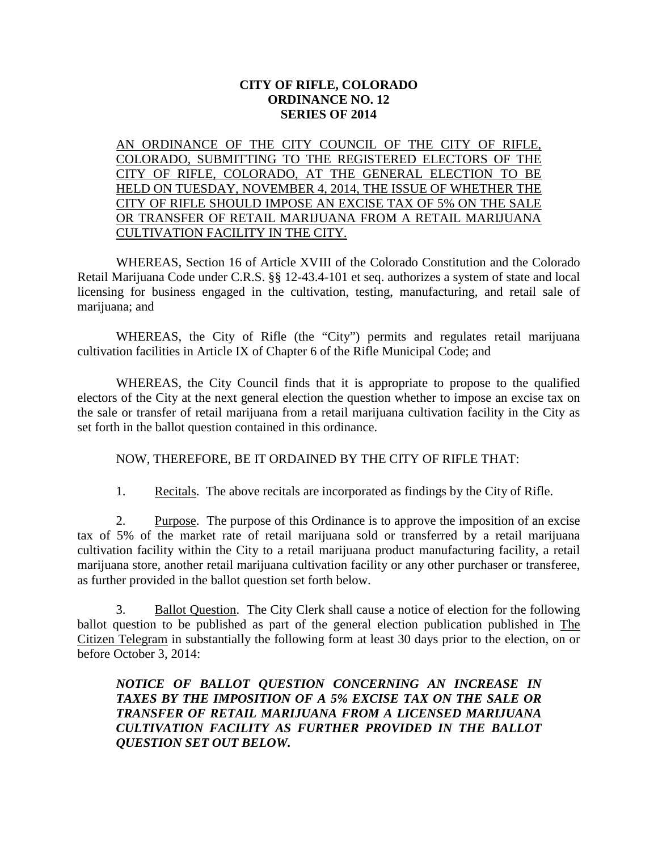## **CITY OF RIFLE, COLORADO ORDINANCE NO. 12 SERIES OF 2014**

AN ORDINANCE OF THE CITY COUNCIL OF THE CITY OF RIFLE, COLORADO, SUBMITTING TO THE REGISTERED ELECTORS OF THE CITY OF RIFLE, COLORADO, AT THE GENERAL ELECTION TO BE HELD ON TUESDAY, NOVEMBER 4, 2014, THE ISSUE OF WHETHER THE CITY OF RIFLE SHOULD IMPOSE AN EXCISE TAX OF 5% ON THE SALE OR TRANSFER OF RETAIL MARIJUANA FROM A RETAIL MARIJUANA CULTIVATION FACILITY IN THE CITY.

WHEREAS, Section 16 of Article XVIII of the Colorado Constitution and the Colorado Retail Marijuana Code under C.R.S. §§ 12-43.4-101 et seq. authorizes a system of state and local licensing for business engaged in the cultivation, testing, manufacturing, and retail sale of marijuana; and

WHEREAS, the City of Rifle (the "City") permits and regulates retail marijuana cultivation facilities in Article IX of Chapter 6 of the Rifle Municipal Code; and

WHEREAS, the City Council finds that it is appropriate to propose to the qualified electors of the City at the next general election the question whether to impose an excise tax on the sale or transfer of retail marijuana from a retail marijuana cultivation facility in the City as set forth in the ballot question contained in this ordinance.

## NOW, THEREFORE, BE IT ORDAINED BY THE CITY OF RIFLE THAT:

1. Recitals. The above recitals are incorporated as findings by the City of Rifle.

2. Purpose. The purpose of this Ordinance is to approve the imposition of an excise tax of 5% of the market rate of retail marijuana sold or transferred by a retail marijuana cultivation facility within the City to a retail marijuana product manufacturing facility, a retail marijuana store, another retail marijuana cultivation facility or any other purchaser or transferee, as further provided in the ballot question set forth below.

3. Ballot Question. The City Clerk shall cause a notice of election for the following ballot question to be published as part of the general election publication published in The Citizen Telegram in substantially the following form at least 30 days prior to the election, on or before October 3, 2014:

## *NOTICE OF BALLOT QUESTION CONCERNING AN INCREASE IN TAXES BY THE IMPOSITION OF A 5% EXCISE TAX ON THE SALE OR TRANSFER OF RETAIL MARIJUANA FROM A LICENSED MARIJUANA CULTIVATION FACILITY AS FURTHER PROVIDED IN THE BALLOT QUESTION SET OUT BELOW.*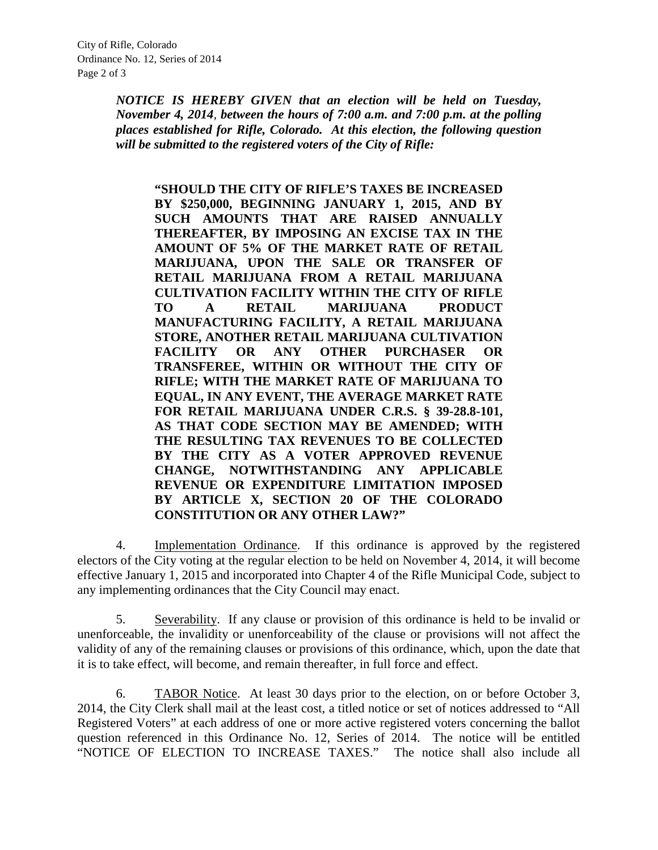*NOTICE IS HEREBY GIVEN that an election will be held on Tuesday, November 4, 2014, between the hours of 7:00 a.m. and 7:00 p.m. at the polling places established for Rifle, Colorado. At this election, the following question will be submitted to the registered voters of the City of Rifle:*

**"SHOULD THE CITY OF RIFLE'S TAXES BE INCREASED BY \$250,000, BEGINNING JANUARY 1, 2015, AND BY SUCH AMOUNTS THAT ARE RAISED ANNUALLY THEREAFTER, BY IMPOSING AN EXCISE TAX IN THE AMOUNT OF 5% OF THE MARKET RATE OF RETAIL MARIJUANA, UPON THE SALE OR TRANSFER OF RETAIL MARIJUANA FROM A RETAIL MARIJUANA CULTIVATION FACILITY WITHIN THE CITY OF RIFLE TO A RETAIL MARIJUANA PRODUCT MANUFACTURING FACILITY, A RETAIL MARIJUANA STORE, ANOTHER RETAIL MARIJUANA CULTIVATION FACILITY OR ANY OTHER PURCHASER OR TRANSFEREE, WITHIN OR WITHOUT THE CITY OF RIFLE; WITH THE MARKET RATE OF MARIJUANA TO EQUAL, IN ANY EVENT, THE AVERAGE MARKET RATE FOR RETAIL MARIJUANA UNDER C.R.S. § 39-28.8-101, AS THAT CODE SECTION MAY BE AMENDED; WITH THE RESULTING TAX REVENUES TO BE COLLECTED BY THE CITY AS A VOTER APPROVED REVENUE CHANGE, NOTWITHSTANDING ANY APPLICABLE REVENUE OR EXPENDITURE LIMITATION IMPOSED BY ARTICLE X, SECTION 20 OF THE COLORADO CONSTITUTION OR ANY OTHER LAW?"**

4. Implementation Ordinance. If this ordinance is approved by the registered electors of the City voting at the regular election to be held on November 4, 2014, it will become effective January 1, 2015 and incorporated into Chapter 4 of the Rifle Municipal Code, subject to any implementing ordinances that the City Council may enact.

5. Severability. If any clause or provision of this ordinance is held to be invalid or unenforceable, the invalidity or unenforceability of the clause or provisions will not affect the validity of any of the remaining clauses or provisions of this ordinance, which, upon the date that it is to take effect, will become, and remain thereafter, in full force and effect.

6. TABOR Notice. At least 30 days prior to the election, on or before October 3, 2014, the City Clerk shall mail at the least cost, a titled notice or set of notices addressed to "All Registered Voters" at each address of one or more active registered voters concerning the ballot question referenced in this Ordinance No. 12, Series of 2014. The notice will be entitled "NOTICE OF ELECTION TO INCREASE TAXES." The notice shall also include all